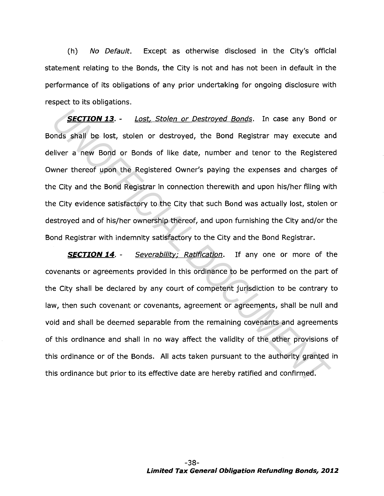(h) No Default. Except as otherwise disclosed in the City's official statement relating to the Bonds, the City is not and has not been in default in the performance of its obligations of any prior undertaking for ongoing disclosure with respect to its obligations.

**SECTION 13.** - Lost, Stolen or Destroyed Bonds. In case any Bond or Bonds shall be lost, stolen or destroyed, the Bond Registrar may execute and deliver a new Bond or Bonds of like date, number and tenor to the Registered Owner thereof upon the Registered Owner's paying the expenses and charges of the City and the Bond Registrar in connection therewith and upon his/her filing with the City evidence satisfactory to the City that such Bond was actually lost, stolen or destroyed and of his/her ownership thereof, and upon furnishing the City and/or the Bond Registrar with indemnity satisfactory to the City and the Bond Registrar.

**SECTION 14.** - Severability; Ratification. If any one or more of the covenants or agreements provided in this ordinance to be performed on the part of the City shall be declared by any court of competent jurisdiction to be contrary to law, then such covenant or covenants, agreement or agreements, shall be null and void and shall be deemed separable from the remaining covenants and agreements of this ordinance and shall in no way affect the validity of the other provisions of this ordinance or of the Bonds. All acts taken pursuant to the authority granted in this ordinance but prior to its effective date are hereby ratified and confirmed. **SECTION 13.** - *Lost*, *Stolen or Destroyed Bonds*. In case any Bond conds shall be lost, stolen or destroyed, the Bond Registrar may execute are<br>ilver a new Bond or Bonds of like date, number and tenor to the Register<br>wh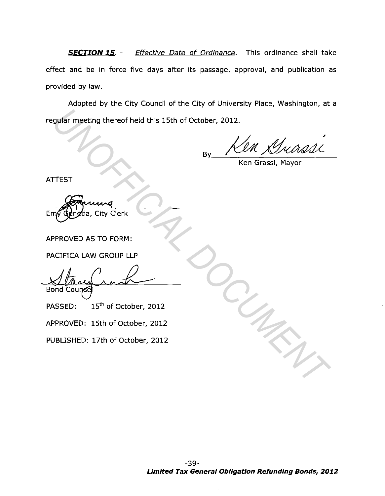**SECTION 15.** - Effective Date of Ordinance. This ordinance shall take effect and be in force five days after its passage, approval, and publication as provided by law.

Adopted by the City Council of the City of University Place, Washington, at a regular meeting thereof held this 15th of October, 2012. **EVALUATION**<br> **UNOFFICIAL DEALER CONSTRUMENT CONSTRUMENT CONSTRUMENT CONSTRUMENT CONSTRUMENT CONSTRUMENT CONSTRUMENT CONSTRUMENT CONSTRUMENT CONSTRUMENT CONSTRUMENT CONSTRUMENT CONSTRUMENT CONSTRUMENT CONSTRUMENT CONSTRUME** 

Ken Grassi, Mayor

ATTEST

APPROVED AS TO FORM:

PACIFICA LAW GROUP LLP

**Bond Counse** 

PASSED: 15<sup>th</sup> of October, 2012

APPROVED: 15th of October, 2012

PUBLISHED: 17th of October, 2012